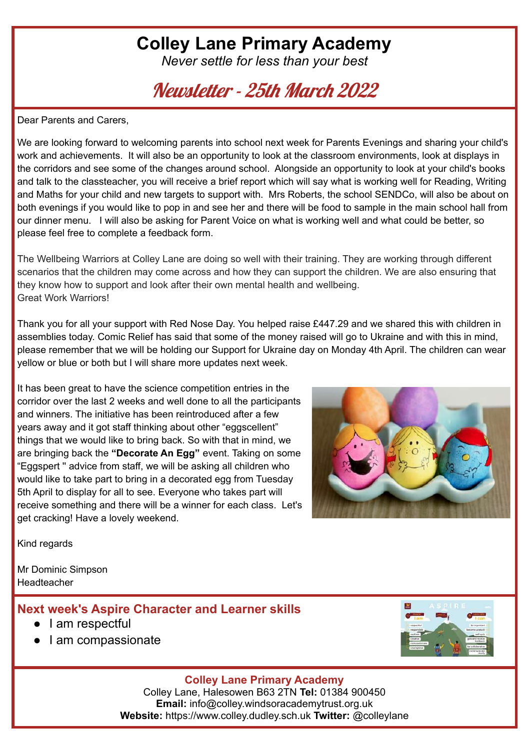# **Colley Lane Primary Academy**

*Never settle for less than your best*

Newsletter - 25th March 2022

Dear Parents and Carers,

We are looking forward to welcoming parents into school next week for Parents Evenings and sharing your child's work and achievements. It will also be an opportunity to look at the classroom environments, look at displays in the corridors and see some of the changes around school. Alongside an opportunity to look at your child's books and talk to the classteacher, you will receive a brief report which will say what is working well for Reading, Writing and Maths for your child and new targets to support with. Mrs Roberts, the school SENDCo, will also be about on both evenings if you would like to pop in and see her and there will be food to sample in the main school hall from our dinner menu. I will also be asking for Parent Voice on what is working well and what could be better, so please feel free to complete a feedback form.

The Wellbeing Warriors at Colley Lane are doing so well with their training. They are working through different scenarios that the children may come across and how they can support the children. We are also ensuring that they know how to support and look after their own mental health and wellbeing. Great Work Warriors!

Thank you for all your support with Red Nose Day. You helped raise £447.29 and we shared this with children in assemblies today. Comic Relief has said that some of the money raised will go to Ukraine and with this in mind, please remember that we will be holding our Support for Ukraine day on Monday 4th April. The children can wear yellow or blue or both but I will share more updates next week.

It has been great to have the science competition entries in the corridor over the last 2 weeks and well done to all the participants and winners. The initiative has been reintroduced after a few years away and it got staff thinking about other "eggscellent" things that we would like to bring back. So with that in mind, we are bringing back the **"Decorate An Egg"** event. Taking on some "Eggspert '' advice from staff, we will be asking all children who would like to take part to bring in a decorated egg from Tuesday 5th April to display for all to see. Everyone who takes part will receive something and there will be a winner for each class. Let's get cracking! Have a lovely weekend.



Kind regards

Mr Dominic Simpson Headteacher

### **Next week's Aspire Character and Learner skills**

- I am respectful
- I am compassionate



#### **Colley Lane Primary Academy**

Colley Lane, Halesowen B63 2TN **Tel:** 01384 900450 **Email:** info@colley.windsoracademytrust.org.uk **Website:** https://www.colley.dudley.sch.uk **Twitter:** @colleylane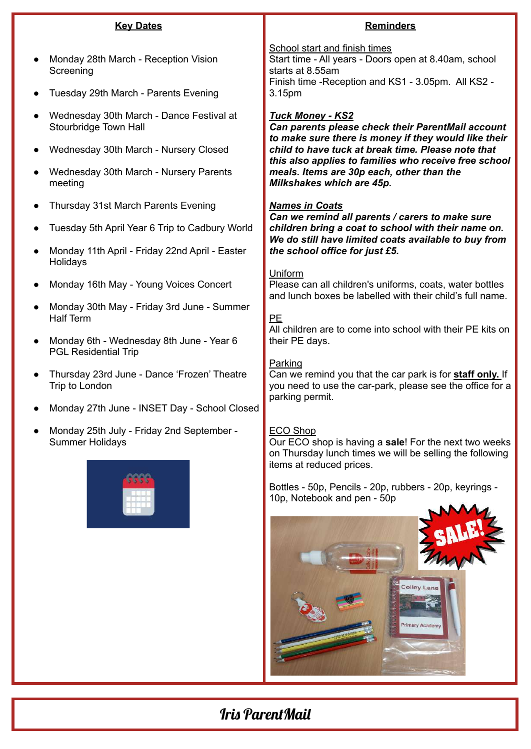| <b>Key Dates</b>                                                        | <b>Reminders</b>                                                                                                                                                  |  |  |  |
|-------------------------------------------------------------------------|-------------------------------------------------------------------------------------------------------------------------------------------------------------------|--|--|--|
| Monday 28th March - Reception Vision<br>Screening                       | School start and finish times<br>Start time - All years - Doors open at 8.40am, school<br>starts at 8.55am<br>Finish time - Reception and KS1 - 3.05pm. All KS2 - |  |  |  |
| Tuesday 29th March - Parents Evening                                    | 3.15pm                                                                                                                                                            |  |  |  |
| Wednesday 30th March - Dance Festival at<br>Stourbridge Town Hall       | <b>Tuck Money - KS2</b><br>Can parents please check their ParentMail account<br>to make sure there is money if they would like their                              |  |  |  |
| Wednesday 30th March - Nursery Closed                                   | child to have tuck at break time. Please note that<br>this also applies to families who receive free school                                                       |  |  |  |
| Wednesday 30th March - Nursery Parents<br>meeting                       | meals. Items are 30p each, other than the<br>Milkshakes which are 45p.                                                                                            |  |  |  |
| Thursday 31st March Parents Evening                                     | <b>Names in Coats</b><br>Can we remind all parents / carers to make sure                                                                                          |  |  |  |
| Tuesday 5th April Year 6 Trip to Cadbury World                          | children bring a coat to school with their name on.<br>We do still have limited coats available to buy from                                                       |  |  |  |
| Monday 11th April - Friday 22nd April - Easter<br>Holidays              | the school office for just £5.<br>Uniform                                                                                                                         |  |  |  |
| Monday 16th May - Young Voices Concert                                  | Please can all children's uniforms, coats, water bottles<br>and lunch boxes be labelled with their child's full name.                                             |  |  |  |
| Monday 30th May - Friday 3rd June - Summer<br><b>Half Term</b>          | <b>PE</b><br>All children are to come into school with their PE kits on                                                                                           |  |  |  |
| Monday 6th - Wednesday 8th June - Year 6<br><b>PGL Residential Trip</b> | their PE days.                                                                                                                                                    |  |  |  |
| Thursday 23rd June - Dance 'Frozen' Theatre<br>Trip to London           | Parking<br>Can we remind you that the car park is for staff only. If<br>you need to use the car-park, please see the office for a                                 |  |  |  |
| Monday 27th June - INSET Day - School Closed                            | parking permit.                                                                                                                                                   |  |  |  |
| Monday 25th July - Friday 2nd September -<br><b>Summer Holidays</b>     | <b>ECO Shop</b><br>Our ECO shop is having a sale! For the next two weeks<br>on Thursday lunch times we will be selling the following<br>items at reduced prices.  |  |  |  |
|                                                                         | Bottles - 50p, Pencils - 20p, rubbers - 20p, keyrings -<br>10p, Notebook and pen - 50p                                                                            |  |  |  |
|                                                                         | <b>Colley Lane</b>                                                                                                                                                |  |  |  |

# Iris ParentMail

 $\mathbf{z}$ 

**Primary Acade**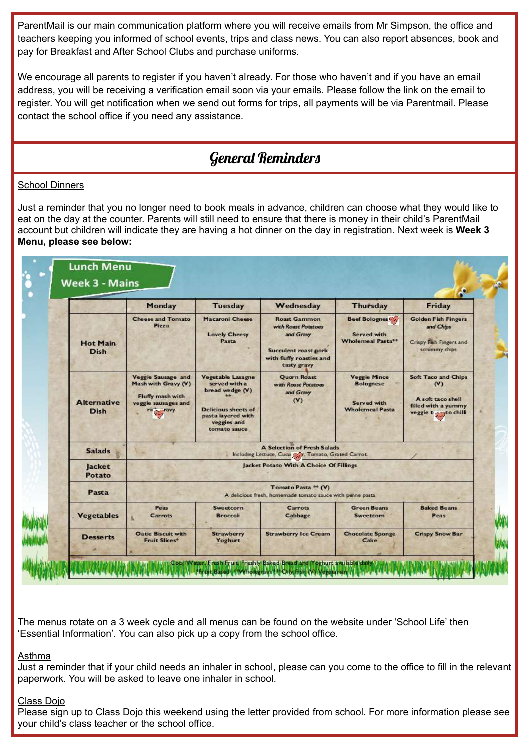ParentMail is our main communication platform where you will receive emails from Mr Simpson, the office and teachers keeping you informed of school events, trips and class news. You can also report absences, book and pay for Breakfast and After School Clubs and purchase uniforms.

We encourage all parents to register if you haven't already. For those who haven't and if you have an email address, you will be receiving a verification email soon via your emails. Please follow the link on the email to register. You will get notification when we send out forms for trips, all payments will be via Parentmail. Please contact the school office if you need any assistance.

### General Reminders

#### **School Dinners**

Just a reminder that you no longer need to book meals in advance, children can choose what they would like to eat on the day at the counter. Parents will still need to ensure that there is money in their child's ParentMail account but children will indicate they are having a hot dinner on the day in registration. Next week is **Week 3 Menu, please see below:**

|                                   | Monday                                                                                                    | <b>Tuesday</b>                                                                                                                                   | Wednesday                                                                                                                  | <b>Thursday</b>                                                                  | Friday                                                                                                  |  |  |
|-----------------------------------|-----------------------------------------------------------------------------------------------------------|--------------------------------------------------------------------------------------------------------------------------------------------------|----------------------------------------------------------------------------------------------------------------------------|----------------------------------------------------------------------------------|---------------------------------------------------------------------------------------------------------|--|--|
| <b>Hot Main</b><br><b>Dish</b>    | <b>Cheese and Tomato</b><br>Pizza                                                                         | <b>Macaroni Cheese</b><br><b>Lovely Cheesy</b><br>Pasta                                                                                          | <b>Roast Gammon</b><br>with Roast Potatoes<br>and Gravy<br>Succulent roast pork<br>with fluffy roasties and<br>tasty gravy | <b>Beef Bolognes</b><br>Served with<br>Wholemeal Pasta**                         | <b>Golden Fish Fingers</b><br>and Chips<br>Crispy Fish Fingers and<br>scrummy chips                     |  |  |
| <b>Alternative</b><br><b>Dish</b> | <b>Veggie Sausage and</b><br>Mash with Gravy (V)<br>Fluffy mash with<br>veggie sausages and<br>rink aravy | <b>Vegetable Lasagne</b><br>served with a<br>bread wedge (V)<br><b>Delicious sheets of</b><br>past a layered with<br>veggies and<br>tomato sauce | <b>Quarn Roast</b><br>with Roast Potatoes<br>and Gravy<br>(V)                                                              | <b>Veggie Mince</b><br><b>Bolognese</b><br>Served with<br><b>Wholemeal Pasta</b> | <b>Soft Taco and Chips</b><br>(V)<br>A soft taco shell<br>filled with a yummy<br>veggie to systo chilli |  |  |
| <b>Salads</b>                     | <b>A Selection of Fresh Salads</b><br>Including Lettuce, Cucu (Mr. Tomato, Grated Carrot.                 |                                                                                                                                                  |                                                                                                                            |                                                                                  |                                                                                                         |  |  |
| <b>Jacket</b><br>Potato           | Jacket Potato With A Choice Of Fillings                                                                   |                                                                                                                                                  |                                                                                                                            |                                                                                  |                                                                                                         |  |  |
| Pasta                             | Tomato Pasta ** (V)<br>A delicious fresh, homemade tomato sauce with penne pasta                          |                                                                                                                                                  |                                                                                                                            |                                                                                  |                                                                                                         |  |  |
| <b>Vegetables</b>                 | Peas<br>Carrots                                                                                           | Sweetcorn<br><b>Broccoli</b>                                                                                                                     | Carrots<br>Cabbage                                                                                                         | <b>Green Beans</b><br>Sweetcorn                                                  | <b>Baked Beans</b><br>Peas                                                                              |  |  |
| <b>Desserts</b>                   | <b>Oatie Biscuit with</b><br>Fruit Slices*                                                                | <b>Strawberry</b><br>Yoghurt                                                                                                                     | <b>Strawberry Ice Cream</b>                                                                                                | <b>Chocolate Sponge</b><br>Cake                                                  | <b>Crispy Snow Bar</b>                                                                                  |  |  |

The menus rotate on a 3 week cycle and all menus can be found on the website under 'School Life' then 'Essential Information'. You can also pick up a copy from the school office.

#### Asthma

Just a reminder that if your child needs an inhaler in school, please can you come to the office to fill in the relevant paperwork. You will be asked to leave one inhaler in school.

#### Class Dojo

Please sign up to Class Dojo this weekend using the letter provided from school. For more information please see your child's class teacher or the school office.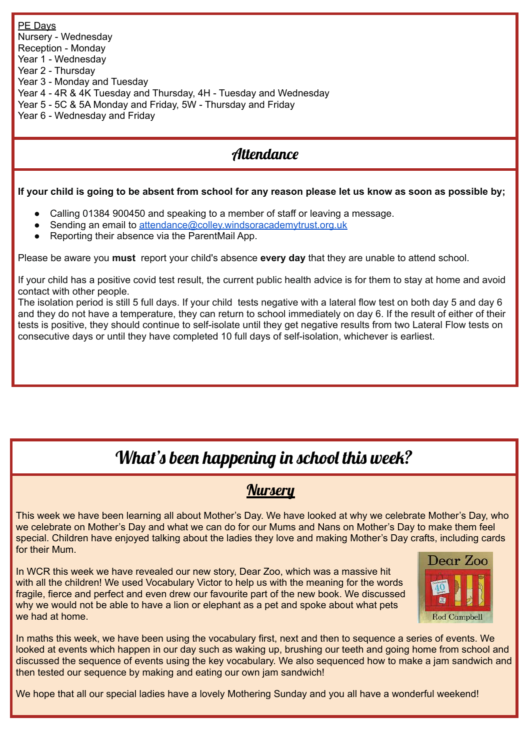PE Days Nursery - Wednesday Reception - Monday Year 1 - Wednesday Year 2 - Thursday Year 3 - Monday and Tuesday Year 4 - 4R & 4K Tuesday and Thursday, 4H - Tuesday and Wednesday Year 5 - 5C & 5A Monday and Friday, 5W - Thursday and Friday Year 6 - Wednesday and Friday

# **Attendance**

If your child is going to be absent from school for any reason please let us know as soon as possible by;

- Calling 01384 900450 and speaking to a member of staff or leaving a message.
- Sending an email to [attendance@colley.windsoracademytrust.org.uk](mailto:attendance@colley.windsoracademytrust.org.uk)
- Reporting their absence via the ParentMail App.

Please be aware you **must** report your child's absence **every day** that they are unable to attend school.

If your child has a positive covid test result, the current public health advice is for them to stay at home and avoid contact with other people.

The isolation period is still 5 full days. If your child tests negative with a lateral flow test on both day 5 and day 6 and they do not have a temperature, they can return to school immediately on day 6. If the result of either of their tests is positive, they should continue to self-isolate until they get negative results from two Lateral Flow tests on consecutive days or until they have completed 10 full days of self-isolation, whichever is earliest.

# What's been happening in school this week?

### **Nursery**

This week we have been learning all about Mother's Day. We have looked at why we celebrate Mother's Day, who we celebrate on Mother's Day and what we can do for our Mums and Nans on Mother's Day to make them feel special. Children have enjoyed talking about the ladies they love and making Mother's Day crafts, including cards for their Mum.

In WCR this week we have revealed our new story, Dear Zoo, which was a massive hit with all the children! We used Vocabulary Victor to help us with the meaning for the words fragile, fierce and perfect and even drew our favourite part of the new book. We discussed why we would not be able to have a lion or elephant as a pet and spoke about what pets we had at home.



In maths this week, we have been using the vocabulary first, next and then to sequence a series of events. We looked at events which happen in our day such as waking up, brushing our teeth and going home from school and discussed the sequence of events using the key vocabulary. We also sequenced how to make a jam sandwich and then tested our sequence by making and eating our own jam sandwich!

We hope that all our special ladies have a lovely Mothering Sunday and you all have a wonderful weekend!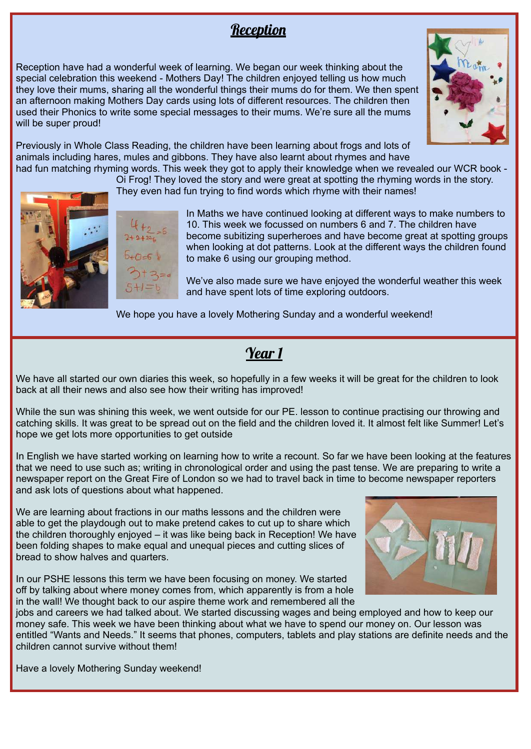### Reception

Reception have had a wonderful week of learning. We began our week thinking about the special celebration this weekend - Mothers Day! The children enjoyed telling us how much they love their mums, sharing all the wonderful things their mums do for them. We then spent an afternoon making Mothers Day cards using lots of different resources. The children then used their Phonics to write some special messages to their mums. We're sure all the mums will be super proud!



Previously in Whole Class Reading, the children have been learning about frogs and lots of animals including hares, mules and gibbons. They have also learnt about rhymes and have had fun matching rhyming words. This week they got to apply their knowledge when we revealed our WCR book -

Oi Frog! They loved the story and were great at spotting the rhyming words in the story.

They even had fun trying to find words which rhyme with their names!





In Maths we have continued looking at different ways to make numbers to 10. This week we focussed on numbers 6 and 7. The children have become subitizing superheroes and have become great at spotting groups when looking at dot patterns. Look at the different ways the children found to make 6 using our grouping method.

We've also made sure we have enjoyed the wonderful weather this week and have spent lots of time exploring outdoors.

We hope you have a lovely Mothering Sunday and a wonderful weekend!

# Year 1

We have all started our own diaries this week, so hopefully in a few weeks it will be great for the children to look back at all their news and also see how their writing has improved!

While the sun was shining this week, we went outside for our PE. lesson to continue practising our throwing and catching skills. It was great to be spread out on the field and the children loved it. It almost felt like Summer! Let's hope we get lots more opportunities to get outside

In English we have started working on learning how to write a recount. So far we have been looking at the features that we need to use such as; writing in chronological order and using the past tense. We are preparing to write a newspaper report on the Great Fire of London so we had to travel back in time to become newspaper reporters and ask lots of questions about what happened.

We are learning about fractions in our maths lessons and the children were able to get the playdough out to make pretend cakes to cut up to share which the children thoroughly enjoyed – it was like being back in Reception! We have been folding shapes to make equal and unequal pieces and cutting slices of bread to show halves and quarters.

In our PSHE lessons this term we have been focusing on money. We started off by talking about where money comes from, which apparently is from a hole in the wall! We thought back to our aspire theme work and remembered all the



jobs and careers we had talked about. We started discussing wages and being employed and how to keep our money safe. This week we have been thinking about what we have to spend our money on. Our lesson was entitled "Wants and Needs." It seems that phones, computers, tablets and play stations are definite needs and the children cannot survive without them!

Have a lovely Mothering Sunday weekend!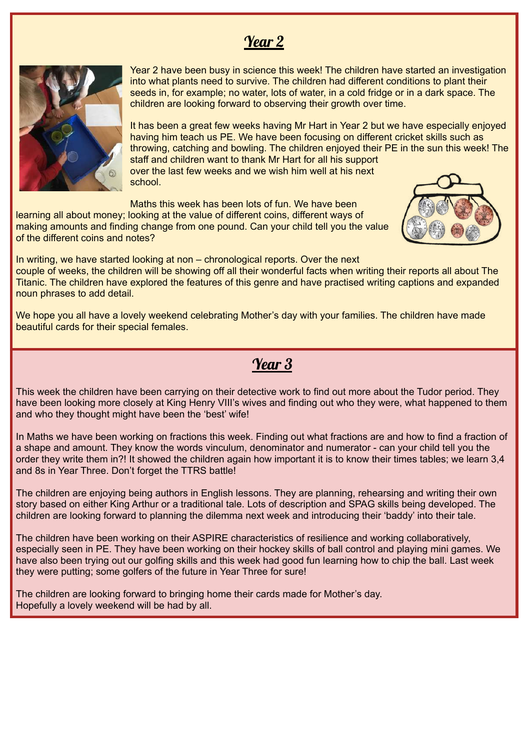### Year 2



Year 2 have been busy in science this week! The children have started an investigation into what plants need to survive. The children had different conditions to plant their seeds in, for example; no water, lots of water, in a cold fridge or in a dark space. The children are looking forward to observing their growth over time.

It has been a great few weeks having Mr Hart in Year 2 but we have especially enjoyed having him teach us PE. We have been focusing on different cricket skills such as throwing, catching and bowling. The children enjoyed their PE in the sun this week! The staff and children want to thank Mr Hart for all his support over the last few weeks and we wish him well at his next school.

Maths this week has been lots of fun. We have been

learning all about money; looking at the value of different coins, different ways of making amounts and finding change from one pound. Can your child tell you the value of the different coins and notes?



In writing, we have started looking at non – chronological reports. Over the next couple of weeks, the children will be showing off all their wonderful facts when writing their reports all about The Titanic. The children have explored the features of this genre and have practised writing captions and expanded noun phrases to add detail.

We hope you all have a lovely weekend celebrating Mother's day with your families. The children have made beautiful cards for their special females.

### Year 3

This week the children have been carrying on their detective work to find out more about the Tudor period. They have been looking more closely at King Henry VIII's wives and finding out who they were, what happened to them and who they thought might have been the 'best' wife!

In Maths we have been working on fractions this week. Finding out what fractions are and how to find a fraction of a shape and amount. They know the words vinculum, denominator and numerator - can your child tell you the order they write them in?! It showed the children again how important it is to know their times tables; we learn 3,4 and 8s in Year Three. Don't forget the TTRS battle!

The children are enjoying being authors in English lessons. They are planning, rehearsing and writing their own story based on either King Arthur or a traditional tale. Lots of description and SPAG skills being developed. The children are looking forward to planning the dilemma next week and introducing their 'baddy' into their tale.

The children have been working on their ASPIRE characteristics of resilience and working collaboratively, especially seen in PE. They have been working on their hockey skills of ball control and playing mini games. We have also been trying out our golfing skills and this week had good fun learning how to chip the ball. Last week they were putting; some golfers of the future in Year Three for sure!

The children are looking forward to bringing home their cards made for Mother's day. Hopefully a lovely weekend will be had by all.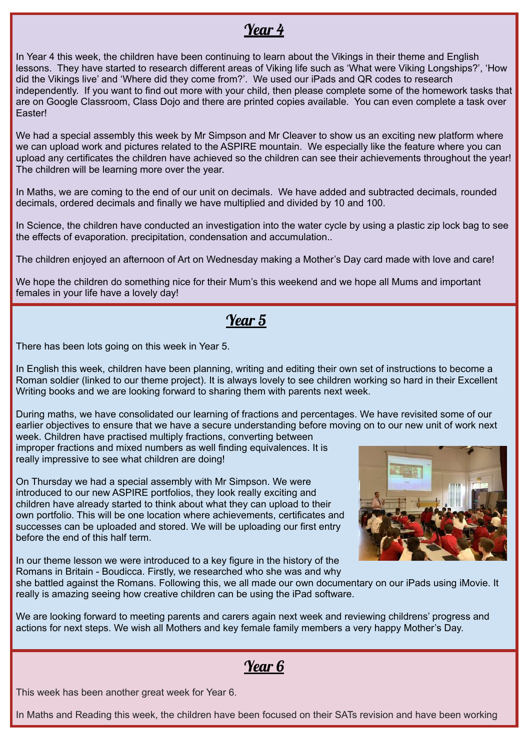## Year 4

In Year 4 this week, the children have been continuing to learn about the Vikings in their theme and English lessons. They have started to research different areas of Viking life such as 'What were Viking Longships?', 'How did the Vikings live' and 'Where did they come from?'. We used our iPads and QR codes to research independently. If you want to find out more with your child, then please complete some of the homework tasks that are on Google Classroom, Class Dojo and there are printed copies available. You can even complete a task over Easter!

We had a special assembly this week by Mr Simpson and Mr Cleaver to show us an exciting new platform where we can upload work and pictures related to the ASPIRE mountain. We especially like the feature where you can upload any certificates the children have achieved so the children can see their achievements throughout the year! The children will be learning more over the year.

In Maths, we are coming to the end of our unit on decimals. We have added and subtracted decimals, rounded decimals, ordered decimals and finally we have multiplied and divided by 10 and 100.

In Science, the children have conducted an investigation into the water cycle by using a plastic zip lock bag to see the effects of evaporation. precipitation, condensation and accumulation..

The children enjoyed an afternoon of Art on Wednesday making a Mother's Day card made with love and care!

We hope the children do something nice for their Mum's this weekend and we hope all Mums and important females in your life have a lovely day!

# Year 5

There has been lots going on this week in Year 5.

In English this week, children have been planning, writing and editing their own set of instructions to become a Roman soldier (linked to our theme project). It is always lovely to see children working so hard in their Excellent Writing books and we are looking forward to sharing them with parents next week.

During maths, we have consolidated our learning of fractions and percentages. We have revisited some of our earlier objectives to ensure that we have a secure understanding before moving on to our new unit of work next week. Children have practised multiply fractions, converting between

improper fractions and mixed numbers as well finding equivalences. It is really impressive to see what children are doing!

On Thursday we had a special assembly with Mr Simpson. We were introduced to our new ASPIRE portfolios, they look really exciting and children have already started to think about what they can upload to their own portfolio. This will be one location where achievements, certificates and successes can be uploaded and stored. We will be uploading our first entry before the end of this half term.

In our theme lesson we were introduced to a key figure in the history of the Romans in Britain - Boudicca. Firstly, we researched who she was and why



she battled against the Romans. Following this, we all made our own documentary on our iPads using iMovie. It really is amazing seeing how creative children can be using the iPad software.

We are looking forward to meeting parents and carers again next week and reviewing childrens' progress and actions for next steps. We wish all Mothers and key female family members a very happy Mother's Day.

# Year 6

This week has been another great week for Year 6.

In Maths and Reading this week, the children have been focused on their SATs revision and have been working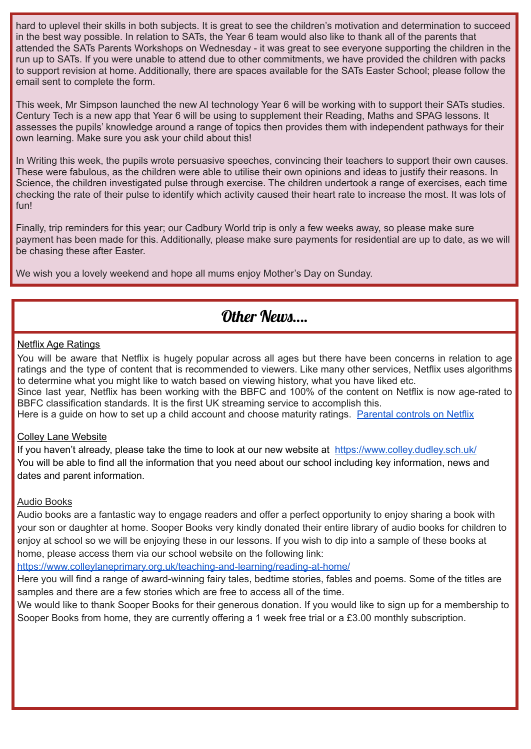hard to uplevel their skills in both subjects. It is great to see the children's motivation and determination to succeed in the best way possible. In relation to SATs, the Year 6 team would also like to thank all of the parents that attended the SATs Parents Workshops on Wednesday - it was great to see everyone supporting the children in the run up to SATs. If you were unable to attend due to other commitments, we have provided the children with packs to support revision at home. Additionally, there are spaces available for the SATs Easter School; please follow the email sent to complete the form.

This week, Mr Simpson launched the new AI technology Year 6 will be working with to support their SATs studies. Century Tech is a new app that Year 6 will be using to supplement their Reading, Maths and SPAG lessons. It assesses the pupils' knowledge around a range of topics then provides them with independent pathways for their own learning. Make sure you ask your child about this!

In Writing this week, the pupils wrote persuasive speeches, convincing their teachers to support their own causes. These were fabulous, as the children were able to utilise their own opinions and ideas to justify their reasons. In Science, the children investigated pulse through exercise. The children undertook a range of exercises, each time checking the rate of their pulse to identify which activity caused their heart rate to increase the most. It was lots of fun!

Finally, trip reminders for this year; our Cadbury World trip is only a few weeks away, so please make sure payment has been made for this. Additionally, please make sure payments for residential are up to date, as we will be chasing these after Easter.

We wish you a lovely weekend and hope all mums enjoy Mother's Day on Sunday.

### Other News

#### Netflix Age Ratings

You will be aware that Netflix is hugely popular across all ages but there have been concerns in relation to age ratings and the type of content that is recommended to viewers. Like many other services, Netflix uses algorithms to determine what you might like to watch based on viewing history, what you have liked etc.

Since last year, Netflix has been working with the BBFC and 100% of the content on Netflix is now age-rated to BBFC classification standards. It is the first UK streaming service to accomplish this.

Here is a guide on how to set up a child account and choose maturity ratings. [Parental](https://help.netflix.com/en/node/264) controls on Netflix

#### Colley Lane Website

If you haven't already, please take the time to look at our new website at <https://www.colley.dudley.sch.uk/> You will be able to find all the information that you need about our school including key information, news and dates and parent information.

#### Audio Books

Audio books are a fantastic way to engage readers and offer a perfect opportunity to enjoy sharing a book with your son or daughter at home. Sooper Books very kindly donated their entire library of audio books for children to enjoy at school so we will be enjoying these in our lessons. If you wish to dip into a sample of these books at home, please access them via our school website on the following link:

<https://www.colleylaneprimary.org.uk/teaching-and-learning/reading-at-home/>

Here you will find a range of award-winning fairy tales, bedtime stories, fables and poems. Some of the titles are samples and there are a few stories which are free to access all of the time.

We would like to thank Sooper Books for their generous donation. If you would like to sign up for a membership to Sooper Books from home, they are currently offering a 1 week free trial or a £3.00 monthly subscription.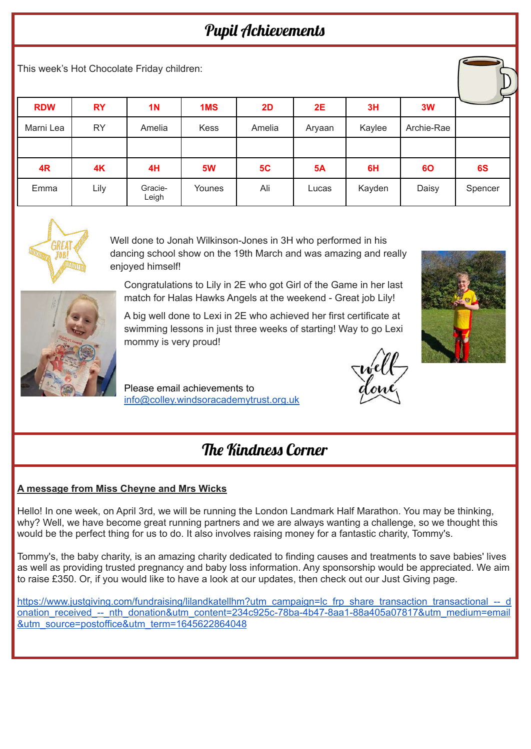# Pupil Achievements

This week's Hot Chocolate Friday children:

| <b>RDW</b> | <b>RY</b> | <b>1N</b>        | 1MS         | 2D     | 2E        | 3H     | 3W         |         |
|------------|-----------|------------------|-------------|--------|-----------|--------|------------|---------|
| Marni Lea  | <b>RY</b> | Amelia           | <b>Kess</b> | Amelia | Aryaan    | Kaylee | Archie-Rae |         |
|            |           |                  |             |        |           |        |            |         |
| 4R         | 4K        | 4H               | 5W          | 5C     | <b>5A</b> | 6H     | 60         | 6S      |
| Emma       | Lily      | Gracie-<br>Leigh | Younes      | Ali    | Lucas     | Kayden | Daisy      | Spencer |



Well done to Jonah Wilkinson-Jones in 3H who performed in his dancing school show on the 19th March and was amazing and really enjoyed himself!

Congratulations to Lily in 2E who got Girl of the Game in her last match for Halas Hawks Angels at the weekend - Great job Lily!

A big well done to Lexi in 2E who achieved her first certificate at swimming lessons in just three weeks of starting! Way to go Lexi mommy is very proud!

Please email achievements to [info@colley.windsoracademytrust.org.uk](mailto:info@colley.windsoracademytrust.org.uk)



# The Kindness Corner

### **A message from Miss Cheyne and Mrs Wicks**

Hello! In one week, on April 3rd, we will be running the London Landmark Half Marathon. You may be thinking, why? Well, we have become great running partners and we are always wanting a challenge, so we thought this would be the perfect thing for us to do. It also involves raising money for a fantastic charity, Tommy's.

Tommy's, the baby charity, is an amazing charity dedicated to finding causes and treatments to save babies' lives as well as providing trusted pregnancy and baby loss information. Any sponsorship would be appreciated. We aim to raise £350. Or, if you would like to have a look at our updates, then check out our Just Giving page.

[https://www.justgiving.com/fundraising/lilandkatellhm?utm\\_campaign=lc\\_frp\\_share\\_transaction\\_transactional\\_--\\_d](https://www.justgiving.com/fundraising/lilandkatellhm?utm_campaign=lc_frp_share_transaction_transactional_--_donation_received_--_nth_donation&utm_content=234c925c-78ba-4b47-8aa1-88a405a07817&utm_medium=email&utm_source=postoffice&utm_term=1645622864048) onation\_received --\_nth\_donation&utm\_content=234c925c-78ba-4b47-8aa1-88a405a07817&utm\_medium=email [&utm\\_source=postoffice&utm\\_term=1645622864048](https://www.justgiving.com/fundraising/lilandkatellhm?utm_campaign=lc_frp_share_transaction_transactional_--_donation_received_--_nth_donation&utm_content=234c925c-78ba-4b47-8aa1-88a405a07817&utm_medium=email&utm_source=postoffice&utm_term=1645622864048)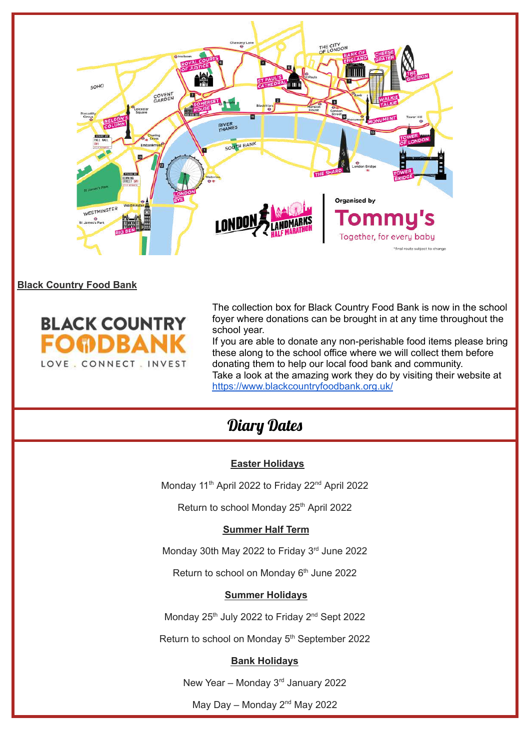

#### **Black Country Food Bank**



The collection box for Black Country Food Bank is now in the school foyer where donations can be brought in at any time throughout the school year.

If you are able to donate any non-perishable food items please bring these along to the school office where we will collect them before donating them to help our local food bank and community. Take a look at the amazing work they do by visiting their website at <https://www.blackcountryfoodbank.org.uk/>

# Diary Dates

#### **Easter Holidays**

Monday 11<sup>th</sup> April 2022 to Friday 22<sup>nd</sup> April 2022

Return to school Monday 25<sup>th</sup> April 2022

#### **Summer Half Term**

Monday 30th May 2022 to Friday 3<sup>rd</sup> June 2022

Return to school on Monday 6<sup>th</sup> June 2022

#### **Summer Holidays**

Monday 25<sup>th</sup> July 2022 to Friday 2<sup>nd</sup> Sept 2022

Return to school on Monday 5<sup>th</sup> September 2022

#### **Bank Holidays**

New Year - Monday 3<sup>rd</sup> January 2022

May Day - Monday 2<sup>nd</sup> May 2022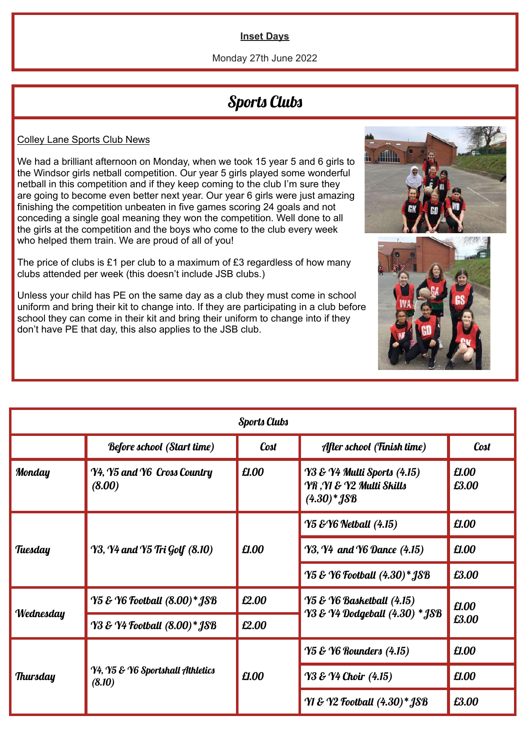#### **Inset Days**

#### Monday 27th June 2022

### Sports Clubs

#### Colley Lane Sports Club News

We had a brilliant afternoon on Monday, when we took 15 year 5 and 6 girls to the Windsor girls netball competition. Our year 5 girls played some wonderful netball in this competition and if they keep coming to the club I'm sure they are going to become even better next year. Our year 6 girls were just amazing finishing the competition unbeaten in five games scoring 24 goals and not conceding a single goal meaning they won the competition. Well done to all the girls at the competition and the boys who come to the club every week who helped them train. We are proud of all of you!

The price of clubs is £1 per club to a maximum of £3 regardless of how many clubs attended per week (this doesn't include JSB clubs.)

Unless your child has PE on the same day as a club they must come in school uniform and bring their kit to change into. If they are participating in a club before school they can come in their kit and bring their uniform to change into if they don't have PE that day, this also applies to the JSB club.

| <b>Sports Clubs</b> |                                            |       |                                                                                     |                |  |  |  |
|---------------------|--------------------------------------------|-------|-------------------------------------------------------------------------------------|----------------|--|--|--|
|                     | <b>Before school (Start time)</b>          | Cost  | After school (Finish time)                                                          | <b>Cost</b>    |  |  |  |
| Monday              | Y4, Y5 and Y6 Cross Country<br>(8.00)      | £1.00 | <b>Y3 &amp; Y4 Multi Sports (4.15)</b><br>YR ,YI & Y2 Multi Skills<br>$(4.30)*$ JSB | £1.00<br>£3.00 |  |  |  |
|                     | Y3, Y4 and Y5 Tri Golf (8.10)              | £1.00 | <b>Y5 &amp; Y6 Netball (4.15)</b>                                                   | £1.00          |  |  |  |
| Tuesday             |                                            |       | <b>Y3, Y4 and Y6 Dance (4.15)</b>                                                   | £1.00          |  |  |  |
|                     |                                            |       | Y5 & Y6 Football (4.30)* JSB                                                        | £3.00          |  |  |  |
|                     | <b>Y5 &amp; Y6 Football (8.00)* JSB</b>    | £2.00 | <b>Y5 &amp; Y6 Basketball (4.15)</b>                                                | £1.00<br>£3.00 |  |  |  |
| Wednesday           | Y3 & Y4 Football (8.00)* JSB               | £2.00 | Y3 & Y4 Dodgeball (4.30) * JSB                                                      |                |  |  |  |
|                     | Y4, Y5 & Y6 Sportshall Athletics<br>(8.10) | £1.00 | <b>Y5 &amp; Y6 Rounders (4.15)</b>                                                  | £1.00          |  |  |  |
| <b>Thursday</b>     |                                            |       | <b>Y3 &amp; Y4 Choir</b> (4.15)                                                     | £1.00          |  |  |  |
|                     |                                            |       | <b>YI &amp; Y2 Football (4.30)* JSB</b>                                             | £3.00          |  |  |  |



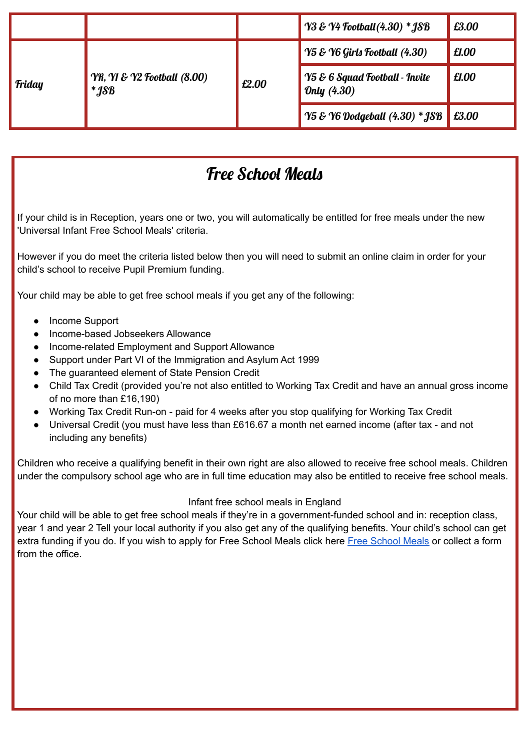|        |                                                                      |       | $\frac{1}{2}$ $\frac{1}{2}$ $\frac{1}{2}$ $\frac{1}{2}$ $\frac{1}{2}$ $\frac{1}{2}$ $\frac{1}{2}$ $\frac{1}{2}$ $\frac{1}{2}$ $\frac{1}{2}$ $\frac{1}{2}$ $\frac{1}{2}$ $\frac{1}{2}$ $\frac{1}{2}$ $\frac{1}{2}$ $\frac{1}{2}$ $\frac{1}{2}$ $\frac{1}{2}$ $\frac{1}{2}$ $\frac{1}{2}$ $\frac{1}{2}$ $\frac{1}{2}$ | £3.00 |
|--------|----------------------------------------------------------------------|-------|---------------------------------------------------------------------------------------------------------------------------------------------------------------------------------------------------------------------------------------------------------------------------------------------------------------------|-------|
|        | <b>YR, YI &amp; Y2 Football (8.00)</b><br>$*$ <i>18</i> <sup>8</sup> | £2.00 | $\sqrt{95 \mathcal{E} \cdot \text{Y6} \cdot \text{Girt}}$ Football (4.30)                                                                                                                                                                                                                                           | £1.00 |
| Friday |                                                                      |       | $\blacktriangleright$ 75 & 6 Squad Football - Invite<br>Only (4.30)                                                                                                                                                                                                                                                 | £1.00 |
|        |                                                                      |       | $\sqrt{95}$ & Y6 Dodgeball $(4.30)$ * JSB                                                                                                                                                                                                                                                                           | £3.00 |

# Free School Meals

If your child is in Reception, years one or two, you will automatically be entitled for free meals under the new 'Universal Infant Free School Meals' criteria.

However if you do meet the criteria listed below then you will need to submit an online claim in order for your child's school to receive Pupil Premium funding.

Your child may be able to get free school meals if you get any of the following:

- Income Support
- Income-based Jobseekers Allowance
- Income-related Employment and Support Allowance
- Support under Part VI of the Immigration and Asylum Act 1999
- The guaranteed element of State Pension Credit
- Child Tax Credit (provided you're not also entitled to Working Tax Credit and have an annual gross income of no more than £16,190)
- Working Tax Credit Run-on paid for 4 weeks after you stop qualifying for Working Tax Credit
- Universal Credit (you must have less than £616.67 a month net earned income (after tax and not including any benefits)

Children who receive a qualifying benefit in their own right are also allowed to receive free school meals. Children under the compulsory school age who are in full time education may also be entitled to receive free school meals.

#### Infant free school meals in England

Your child will be able to get free school meals if they're in a government-funded school and in: reception class, year 1 and year 2 Tell your local authority if you also get any of the qualifying benefits. Your child's school can get extra funding if you do. If you wish to apply for Free [School](https://www.dudley.gov.uk/resident/your-council/council-tax-and-benefits/benefits/free-school-meals) Meals click here Free School Meals or collect a form from the office.